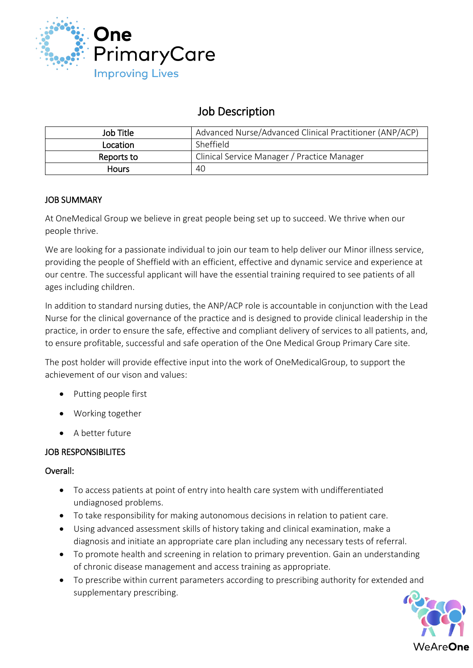

# Job Description

| Job Title    | Advanced Nurse/Advanced Clinical Practitioner (ANP/ACP) |
|--------------|---------------------------------------------------------|
| Location     | Sheffield                                               |
| Reports to   | Clinical Service Manager / Practice Manager             |
| <b>Hours</b> | 40                                                      |

# JOB SUMMARY

At OneMedical Group we believe in great people being set up to succeed. We thrive when our people thrive.

We are looking for a passionate individual to join our team to help deliver our Minor illness service, providing the people of Sheffield with an efficient, effective and dynamic service and experience at our centre. The successful applicant will have the essential training required to see patients of all ages including children.

In addition to standard nursing duties, the ANP/ACP role is accountable in conjunction with the Lead Nurse for the clinical governance of the practice and is designed to provide clinical leadership in the practice, in order to ensure the safe, effective and compliant delivery of services to all patients, and, to ensure profitable, successful and safe operation of the One Medical Group Primary Care site.

The post holder will provide effective input into the work of OneMedicalGroup, to support the achievement of our vison and values:

- Putting people first
- Working together
- A better future

# JOB RESPONSIBILITES

# Overall:

- To access patients at point of entry into health care system with undifferentiated undiagnosed problems.
- To take responsibility for making autonomous decisions in relation to patient care.
- Using advanced assessment skills of history taking and clinical examination, make a diagnosis and initiate an appropriate care plan including any necessary tests of referral.
- To promote health and screening in relation to primary prevention. Gain an understanding of chronic disease management and access training as appropriate.
- To prescribe within current parameters according to prescribing authority for extended and supplementary prescribing.

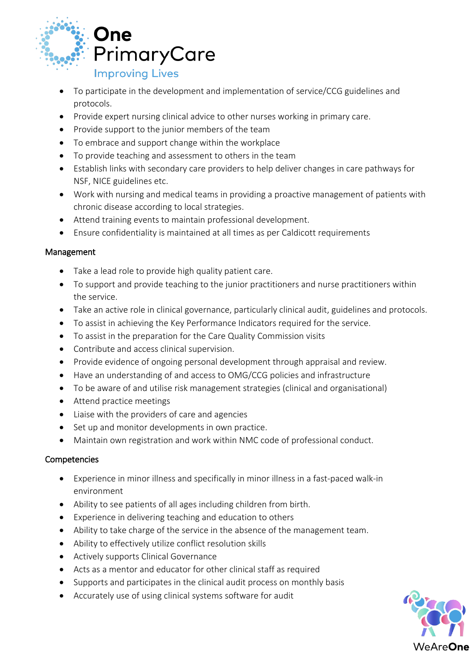

- To participate in the development and implementation of service/CCG guidelines and protocols.
- Provide expert nursing clinical advice to other nurses working in primary care.
- Provide support to the junior members of the team
- To embrace and support change within the workplace
- To provide teaching and assessment to others in the team
- Establish links with secondary care providers to help deliver changes in care pathways for NSF, NICE guidelines etc.
- Work with nursing and medical teams in providing a proactive management of patients with chronic disease according to local strategies.
- Attend training events to maintain professional development.
- Ensure confidentiality is maintained at all times as per Caldicott requirements

#### **Management**

- Take a lead role to provide high quality patient care.
- To support and provide teaching to the junior practitioners and nurse practitioners within the service.
- Take an active role in clinical governance, particularly clinical audit, guidelines and protocols.
- To assist in achieving the Key Performance Indicators required for the service.
- To assist in the preparation for the Care Quality Commission visits
- Contribute and access clinical supervision.
- Provide evidence of ongoing personal development through appraisal and review.
- Have an understanding of and access to OMG/CCG policies and infrastructure
- To be aware of and utilise risk management strategies (clinical and organisational)
- Attend practice meetings
- Liaise with the providers of care and agencies
- Set up and monitor developments in own practice.
- Maintain own registration and work within NMC code of professional conduct.

# Competencies

- Experience in minor illness and specifically in minor illness in a fast-paced walk-in environment
- Ability to see patients of all ages including children from birth.
- Experience in delivering teaching and education to others
- Ability to take charge of the service in the absence of the management team.
- Ability to effectively utilize conflict resolution skills
- Actively supports Clinical Governance
- Acts as a mentor and educator for other clinical staff as required
- Supports and participates in the clinical audit process on monthly basis
- Accurately use of using clinical systems software for audit

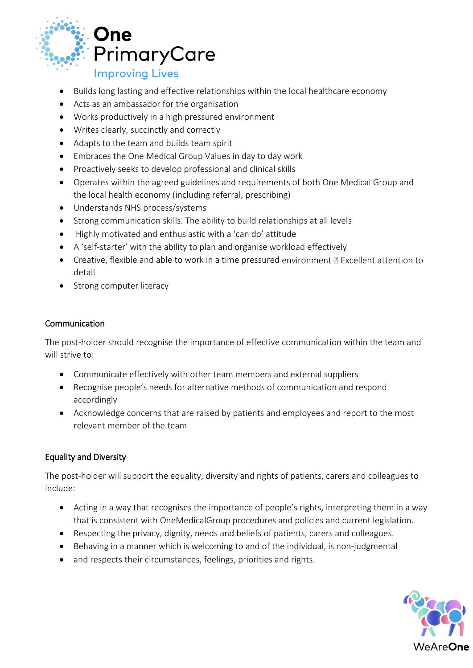

- Builds long lasting and effective relationships within the local healthcare economy
- Acts as an ambassador for the organisation
- Works productively in a high pressured environment
- Writes clearly, succinctly and correctly
- Adapts to the team and builds team spirit
- Embraces the One Medical Group Values in day to day work
- Proactively seeks to develop professional and clinical skills
- Operates within the agreed guidelines and requirements of both One Medical Group and the local health economy (including referral, prescribing)
- Understands NHS process/systems
- Strong communication skills. The ability to build relationships at all levels
- Highly motivated and enthusiastic with a 'can do' attitude
- A 'self-starter' with the ability to plan and organise workload effectively
- Creative, flexible and able to work in a time pressured environment **D** Excellent attention to detail
- Strong computer literacy

#### Communication

The post-holder should recognise the importance of effective communication within the team and will strive to:

- Communicate effectively with other team members and external suppliers
- Recognise people's needs for alternative methods of communication and respond accordingly
- Acknowledge concerns that are raised by patients and employees and report to the most relevant member of the team

# Equality and Diversity

The post-holder will support the equality, diversity and rights of patients, carers and colleagues to include:

- Acting in a way that recognises the importance of people's rights, interpreting them in a way that is consistent with OneMedicalGroup procedures and policies and current legislation.
- Respecting the privacy, dignity, needs and beliefs of patients, carers and colleagues.
- Behaving in a manner which is welcoming to and of the individual, is non-judgmental
- and respects their circumstances, feelings, priorities and rights.